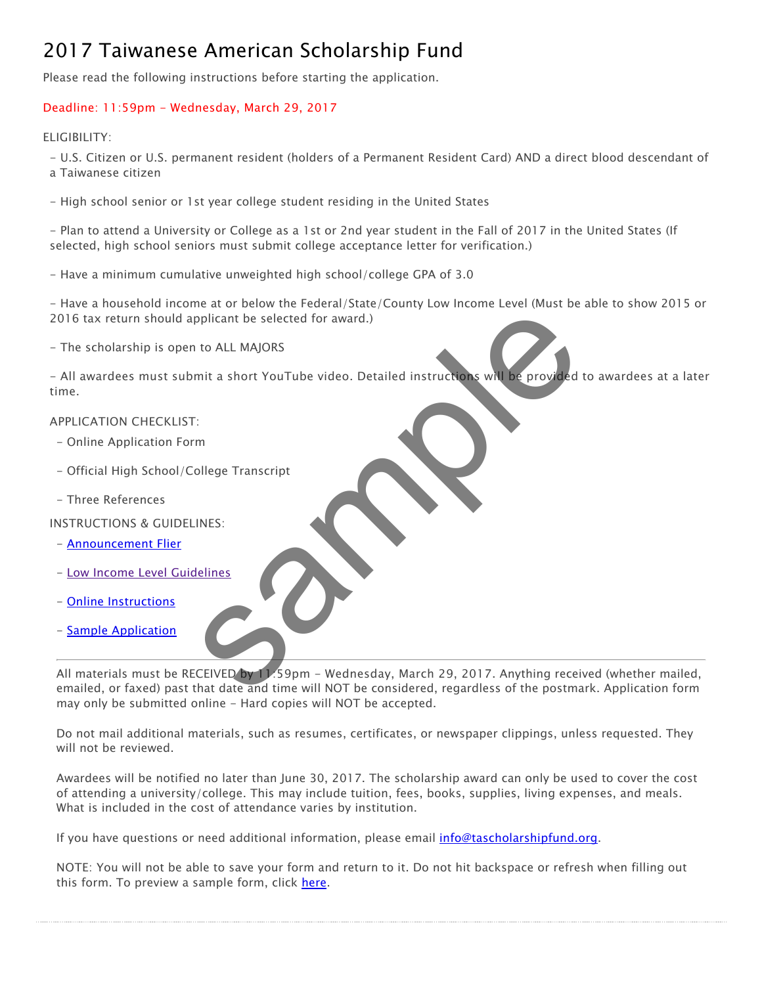# 2017 Taiwanese American Scholarship Fund

Please read the following instructions before starting the application.

## Deadline: 11:59pm - Wednesday, March 29, 2017

### ELIGIBILITY:

- U.S. Citizen or U.S. permanent resident (holders of a Permanent Resident Card) AND a direct blood descendant of a Taiwanese citizen

- High school senior or 1st year college student residing in the United States

- Plan to attend a University or College as a 1st or 2nd year student in the Fall of 2017 in the United States (If selected, high school seniors must submit college acceptance letter for verification.)

- Have a minimum cumulative unweighted high school/college GPA of 3.0

- Have a household income at or below the Federal/State/County Low Income Level (Must be able to show 2015 or 2016 tax return should applicant be selected for award.)

- The scholarship is open to ALL MAJORS

- All awardees must submit a short YouTube video. Detailed instructions will be provided to awardees at a later time.

#### APPLICATION CHECKLIST:

- Online Application Form
- Official High School/College Transcript
- Three References

INSTRUCTIONS & GUIDELINES:

- [Announcement Flier](http://tascholarshipfund.org/wp-content/uploads/2016/12/2017-TASF-Flier.pdf)
- [Low Income Level Guidelines](http://tascholarshipfund.org/wp-content/uploads/2015/11/TASF-Low-Income-Level-Guidelines.pdf)
- [Online Instructions](http://tascholarshipfund.org/wp-content/uploads/2016/12/2017-TASF-Online-Instructions.pdf)
- [Sample Application](http://tascholarshipfund.org/wp-content/uploads/2016/12/2017-TASF-Sample-Application.pdf)

All materials must be RECEIVED by 11.59pm - Wednesday, March 29, 2017. Anything received (whether mailed, emailed, or faxed) past that date and time will NOT be considered, regardless of the postmark. Application form may only be submitted online - Hard copies will NOT be accepted. Figure 1.1 MAJORS<br>
In to ALL MAJORS<br>
mit a short YouTube video. Detailed instructions will be provided<br>
in<br>
INES:<br>
Sample Transcript<br>
Sample - Wednesday, March 29, 2017. Anything received.<br>
That date and time will NOT be c

Do not mail additional materials, such as resumes, certificates, or newspaper clippings, unless requested. They will not be reviewed.

Awardees will be notified no later than June 30, 2017. The scholarship award can only be used to cover the cost of attending a university/college. This may include tuition, fees, books, supplies, living expenses, and meals. What is included in the cost of attendance varies by institution.

If you have questions or need additional information, please email *info@tascholarshipfund.org*.

NOTE: You will not be able to save your form and return to it. Do not hit backspace or refresh when filling out this form. To preview a sample form, click [here.](http://tascholarshipfund.org/wp-content/uploads/2016/12/2017-TASF-Sample-Application.pdf)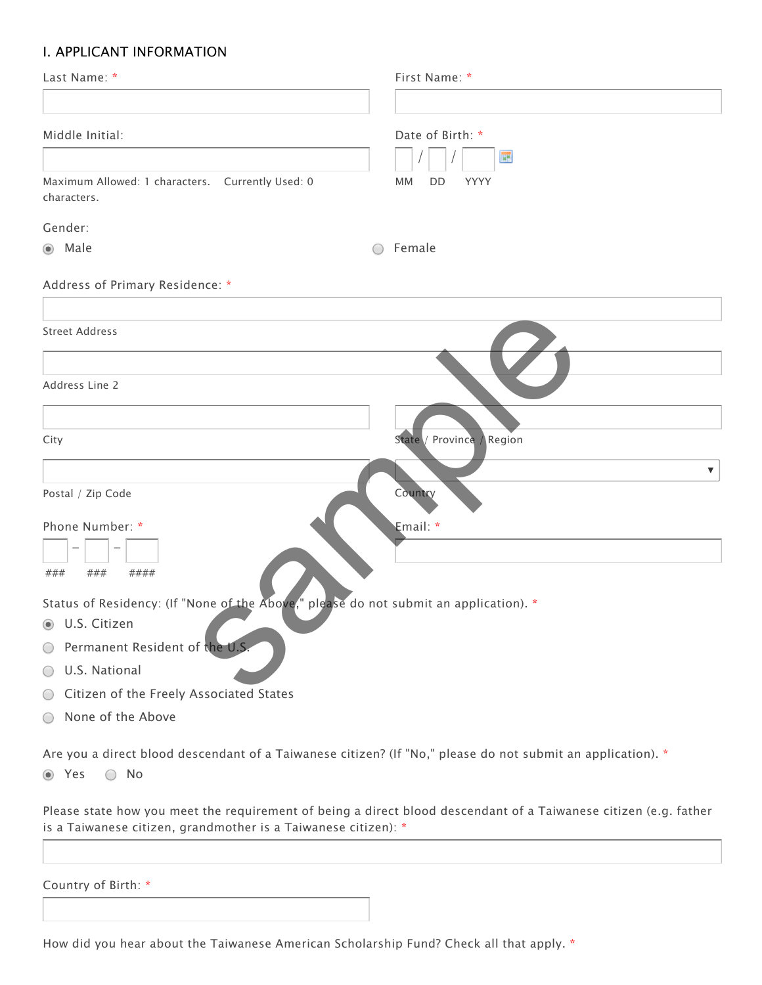# I. APPLICANT INFORMATION

| Last Name: *                                                                                                                    | First Name: *             |
|---------------------------------------------------------------------------------------------------------------------------------|---------------------------|
|                                                                                                                                 |                           |
| Middle Initial:                                                                                                                 | Date of Birth: *<br>E     |
| Maximum Allowed: 1 characters. Currently Used: 0<br>characters.                                                                 | <b>MM</b><br>DD<br>YYYY   |
| Gender:                                                                                                                         |                           |
| ● Male                                                                                                                          | Female                    |
| Address of Primary Residence: *                                                                                                 |                           |
| <b>Street Address</b>                                                                                                           |                           |
| Address Line 2                                                                                                                  |                           |
| City                                                                                                                            | State / Province / Region |
|                                                                                                                                 | ▼                         |
| Postal / Zip Code                                                                                                               | Country                   |
| Phone Number: *                                                                                                                 | Email: *                  |
| ###<br>####<br>###                                                                                                              |                           |
| Status of Residency: (If "None of the Above," please do not submit an application). *                                           |                           |
| <b>J.S. Citizen</b>                                                                                                             |                           |
| O Permanent Resident of the U.S.                                                                                                |                           |
| U.S. National<br>$\bigcirc$                                                                                                     |                           |
| Citizen of the Freely Associated States<br>$\bigcirc$                                                                           |                           |
| None of the Above<br>$\bigcirc$                                                                                                 |                           |
| Are you a direct blood descendant of a Taiwanese citizen? (If "No," please do not submit an application). *<br>◎ Yes<br>$( \ )$ |                           |
| No                                                                                                                              |                           |

Please state how you meet the requirement of being a direct blood descendant of a Taiwanese citizen (e.g. father is a Taiwanese citizen, grandmother is a Taiwanese citizen): \*

Country of Birth: \*

How did you hear about the Taiwanese American Scholarship Fund? Check all that apply. \*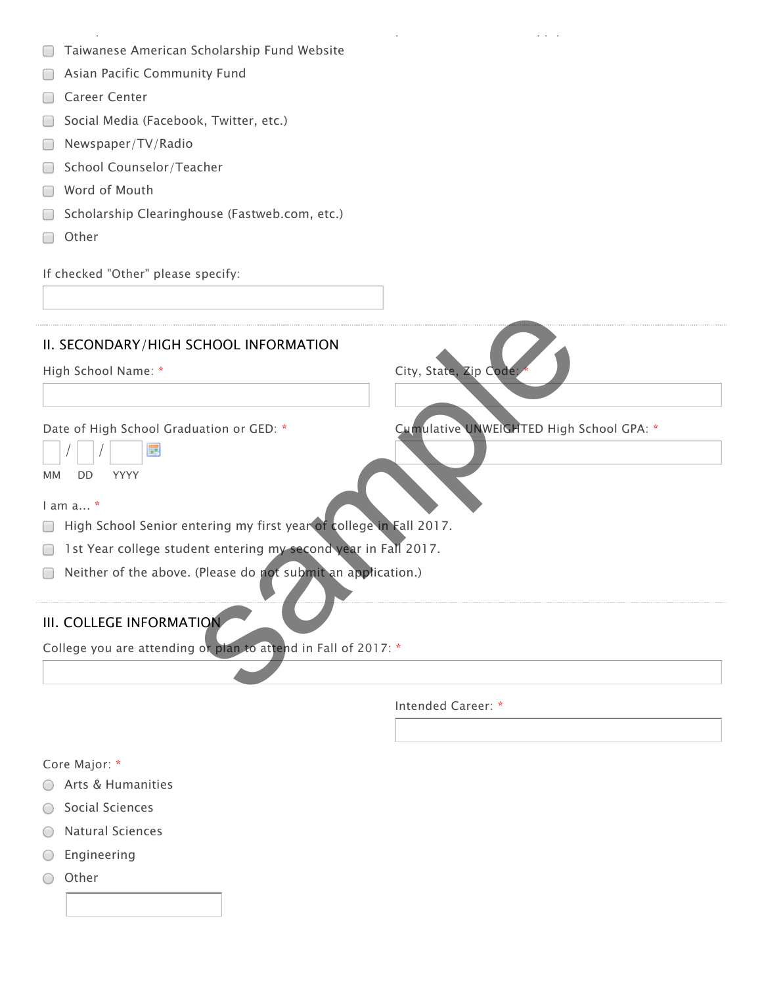**□ Taiwanese American Scholarship Fund Website** 

How did you hear about the Taiwanese American Scholarship Fund? Check all that apply. \*

- **B** Asian Pacific Community Fund
- Career Center
- Social Media (Facebook, Twitter, etc.)
- Newspaper/TV/Radio
- School Counselor/Teacher
- Word of Mouth
- **Scholarship Clearinghouse (Fastweb.com, etc.)**
- □ Other

If checked "Other" please specify:

# II. SECONDARY/HIGH SCHOOL INFORMATION

High School Name: \* The Code of City, State, Zip Code:

Date of High School Graduation or GED: \* Cumulative UNWEIGHTED High School GPA: \* CHOOL INFORMATION<br>
City, State, Zip Code<br>
Luation or GED: \*<br>
Cumulative UNWEIGHTED High S<br>
terring my first year of college in Fall 2017.<br>
(Please do not submit an application.)<br>
TON<br>
or plan to attend in Fall of 2017: \*

| MМ | חח | <b>YYY</b> |  |
|----|----|------------|--|

I am a... \*

- **High School Senior entering my first year of college in Fall 2017.**
- 1st Year college student entering my second year in Fall 2017.
- □ Neither of the above. (Please do not submit an application.)

# III. COLLEGE INFORMATION

College you are attending or plan to attend in Fall of 2017: \*

Intended Career: \*

Core Major: \*

- ◯ Arts & Humanities
- Social Sciences
- Natural Sciences
- $O$  Engineering
- Other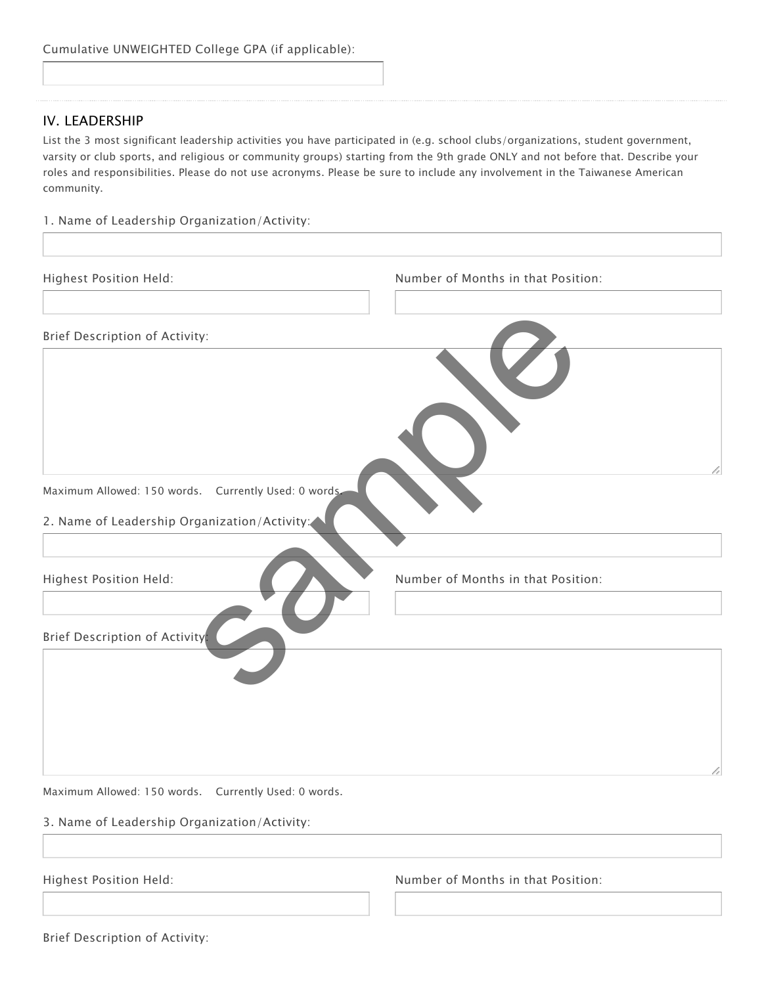## IV. LEADERSHIP

List the 3 most significant leadership activities you have participated in (e.g. school clubs/organizations, student government, varsity or club sports, and religious or community groups) starting from the 9th grade ONLY and not before that. Describe your roles and responsibilities. Please do not use acronyms. Please be sure to include any involvement in the Taiwanese American community.

1. Name of Leadership Organization/Activity:

| Highest Position Held:                               | Number of Months in that Position: |
|------------------------------------------------------|------------------------------------|
| Brief Description of Activity:                       |                                    |
|                                                      |                                    |
|                                                      |                                    |
|                                                      |                                    |
| Maximum Allowed: 150 words. Currently Used: 0 words. |                                    |
| 2. Name of Leadership Organization/Activity:         |                                    |
| Highest Position Held:                               | Number of Months in that Position: |
|                                                      |                                    |
| Brief Description of Activity.                       |                                    |
|                                                      |                                    |
|                                                      |                                    |
|                                                      | h                                  |

Maximum Allowed: 150 words. Currently Used: 0 words.

#### 3. Name of Leadership Organization/Activity:

Highest Position Held: Number of Months in that Position:

Brief Description of Activity: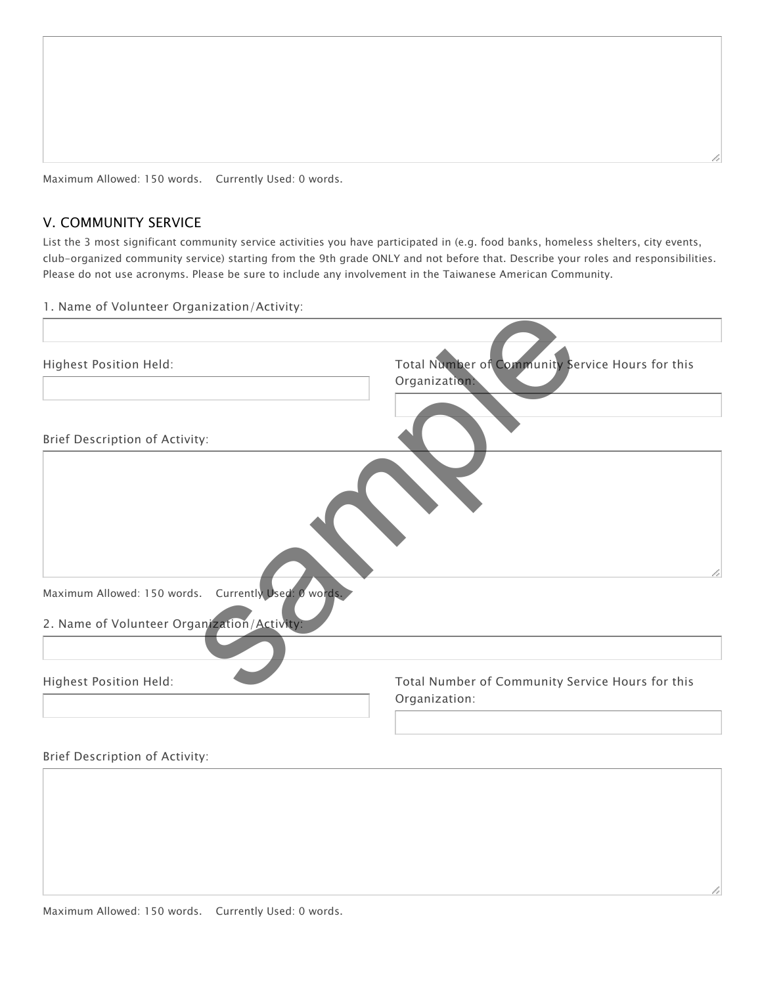# V. COMMUNITY SERVICE

List the 3 most significant community service activities you have participated in (e.g. food banks, homeless shelters, city events, club-organized community service) starting from the 9th grade ONLY and not before that. Describe your roles and responsibilities. Please do not use acronyms. Please be sure to include any involvement in the Taiwanese American Community.

1. Name of Volunteer Organization/Activity:

| Total Number of Community Service Hours for this<br>Organization: |
|-------------------------------------------------------------------|
|                                                                   |
|                                                                   |
|                                                                   |
|                                                                   |
| Total Number of Community Service Hours for this<br>Organization: |
|                                                                   |
|                                                                   |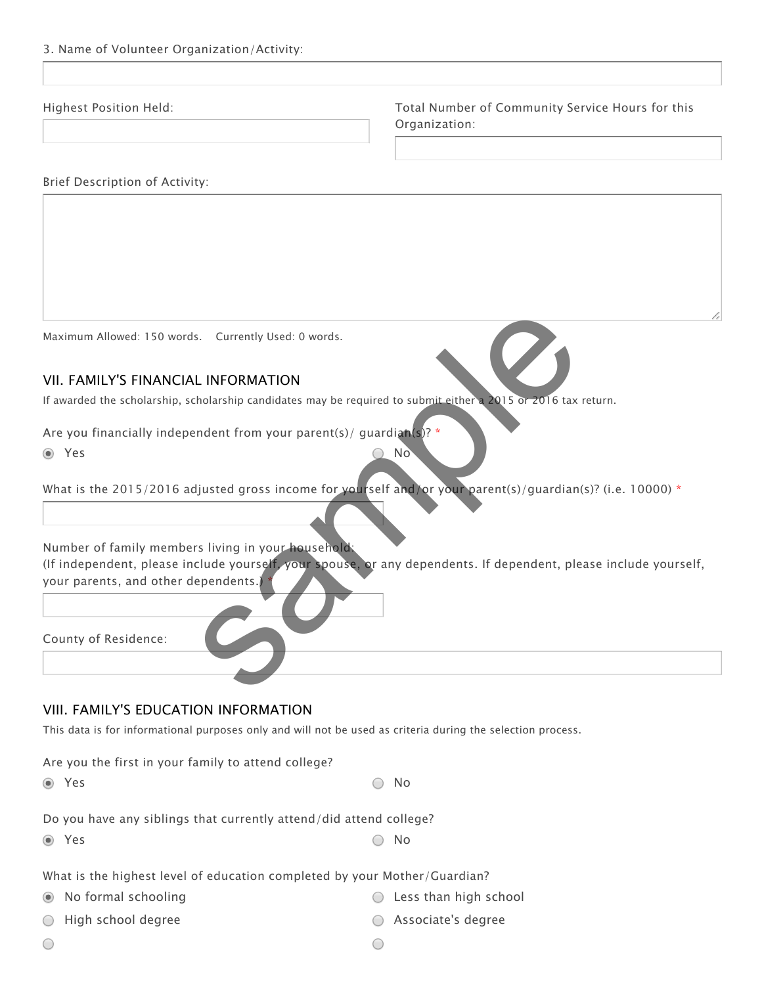Highest Position Held: Total Number of Community Service Hours for this Organization:

#### Brief Description of Activity:

Maximum Allowed: 150 words. Currently Used: 0 words.

## VII. FAMILY'S FINANCIAL INFORMATION

If awarded the scholarship, scholarship candidates may be required to submit either a 2015 or 2016 tax return.

**The Second Second Second Second Second Second Second Second Second Second Second Second Second Second Second Second Second Second Second Second Second Second Second Second Second Second Second Second Second Second Second** Are you financially independent from your parent(s)/ quardian(s)?

 $\bigcirc$ 

What is the 2015/2016 adjusted gross income for yourself and/or your parent(s)/guardian(s)? (i.e. 10000) \*

Number of family members living in your household: (If independent, please include yourself, your spouse, or any dependents. If dependent, please include yourself, your parents, and other dependents.) \* s. Currently Used: 0 words.<br>
L INFORMATION<br>
tholarship candidates may be required to submit either 2015 or 2016 tax<br>
mandent from your parent(s)/ guardian(s)?<br>
Signal parent (s)/guardian(s)<br>
signal parent (s)/guardian(s)<br>

County of Residence:

## VIII. FAMILY'S EDUCATION INFORMATION

This data is for informational purposes only and will not be used as criteria during the selection process.

Are you the first in your family to attend college?

 $Y$ es  $\bigcirc$  No

Do you have any siblings that currently attend/did attend college?

 $Y$ es  $\bigcirc$  No

What is the highest level of education completed by your Mother/Guardian?

- No formal schooling Less than high school
- High school degree Associate's degree
	- $\bigcirc$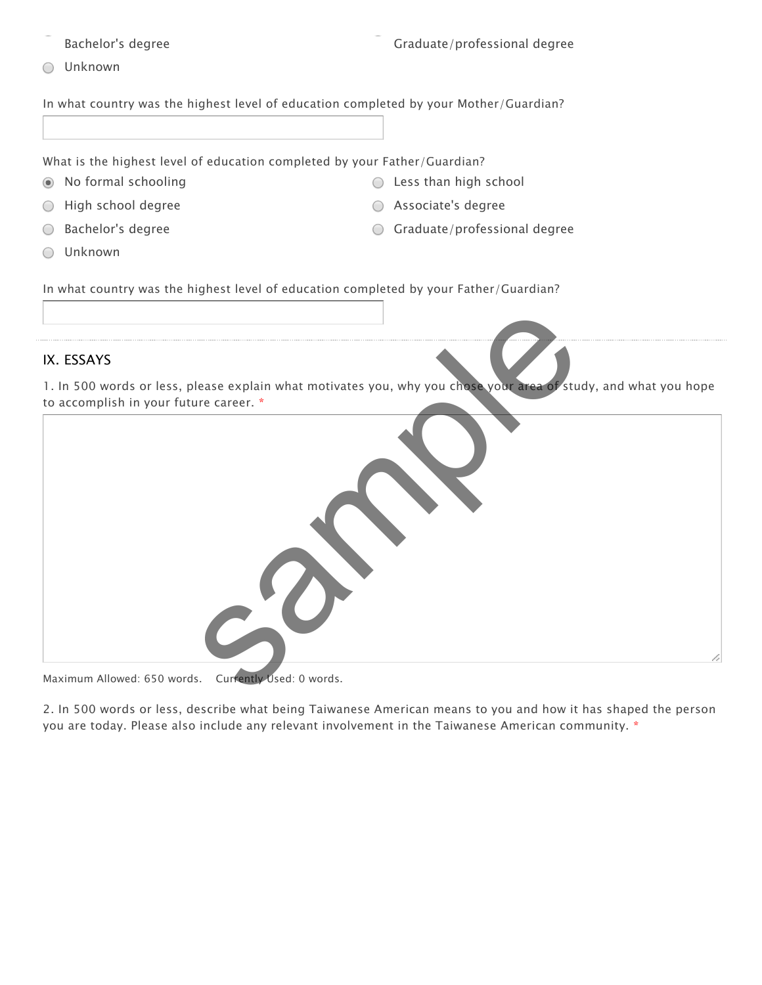Bachelor's degree Graduate/professional degree

Unknown

In what country was the highest level of education completed by your Mother/Guardian?

What is the highest level of education completed by your Father/Guardian?

- No formal schooling Less than high school
- High school degree Associate's degree
- Bachelor's degree Graduate/professional degree  $\bigcirc$
- Unknown ⌒
- 
- In what country was the highest level of education completed by your Father/Guardian?

# IX. ESSAYS

1. In 500 words or less, please explain what motivates you, why you chose your area of study, and what you hope to accomplish in your future career. \*



Maximum Allowed: 650 words. Currently Used: 0 words.

2. In 500 words or less, describe what being Taiwanese American means to you and how it has shaped the person you are today. Please also include any relevant involvement in the Taiwanese American community. \*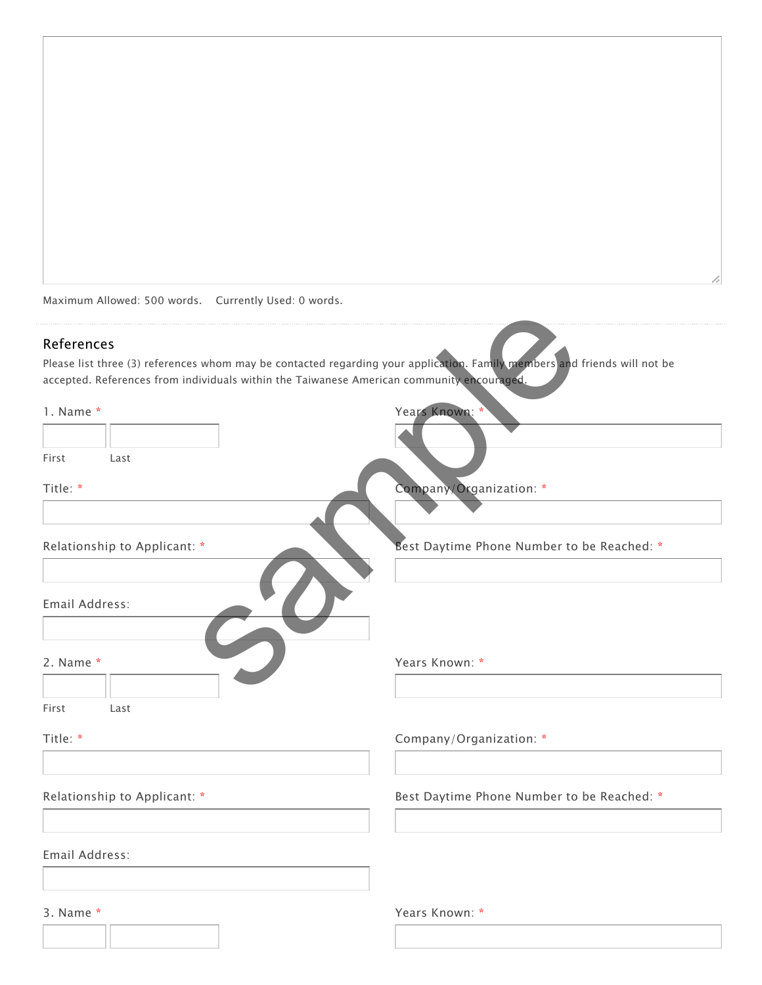Maximum Allowed: 500 words. Currently Used: 0 words.

#### References

| References<br>Please list three (3) references whom may be contacted regarding your application. Family members and friends will not be<br>accepted. References from individuals within the Taiwanese American community encouraged. |                                            |
|--------------------------------------------------------------------------------------------------------------------------------------------------------------------------------------------------------------------------------------|--------------------------------------------|
| 1. Name*                                                                                                                                                                                                                             | Years Known:                               |
|                                                                                                                                                                                                                                      |                                            |
| First<br>Last                                                                                                                                                                                                                        |                                            |
|                                                                                                                                                                                                                                      |                                            |
| Title: *                                                                                                                                                                                                                             | Company/Organization: *                    |
|                                                                                                                                                                                                                                      |                                            |
| Relationship to Applicant: *                                                                                                                                                                                                         | Best Daytime Phone Number to be Reached: * |
|                                                                                                                                                                                                                                      |                                            |
|                                                                                                                                                                                                                                      |                                            |
| Email Address:                                                                                                                                                                                                                       |                                            |
|                                                                                                                                                                                                                                      |                                            |
|                                                                                                                                                                                                                                      |                                            |
| 2. Name *                                                                                                                                                                                                                            | Years Known: *                             |
|                                                                                                                                                                                                                                      |                                            |
| First<br>Last                                                                                                                                                                                                                        |                                            |
| Title: *                                                                                                                                                                                                                             | Company/Organization: *                    |
|                                                                                                                                                                                                                                      |                                            |
|                                                                                                                                                                                                                                      |                                            |
| Relationship to Applicant: *                                                                                                                                                                                                         | Best Daytime Phone Number to be Reached: * |
|                                                                                                                                                                                                                                      |                                            |
| Email Address:                                                                                                                                                                                                                       |                                            |
|                                                                                                                                                                                                                                      |                                            |
|                                                                                                                                                                                                                                      |                                            |
| 3. Name $*$                                                                                                                                                                                                                          | Years Known: *                             |
|                                                                                                                                                                                                                                      |                                            |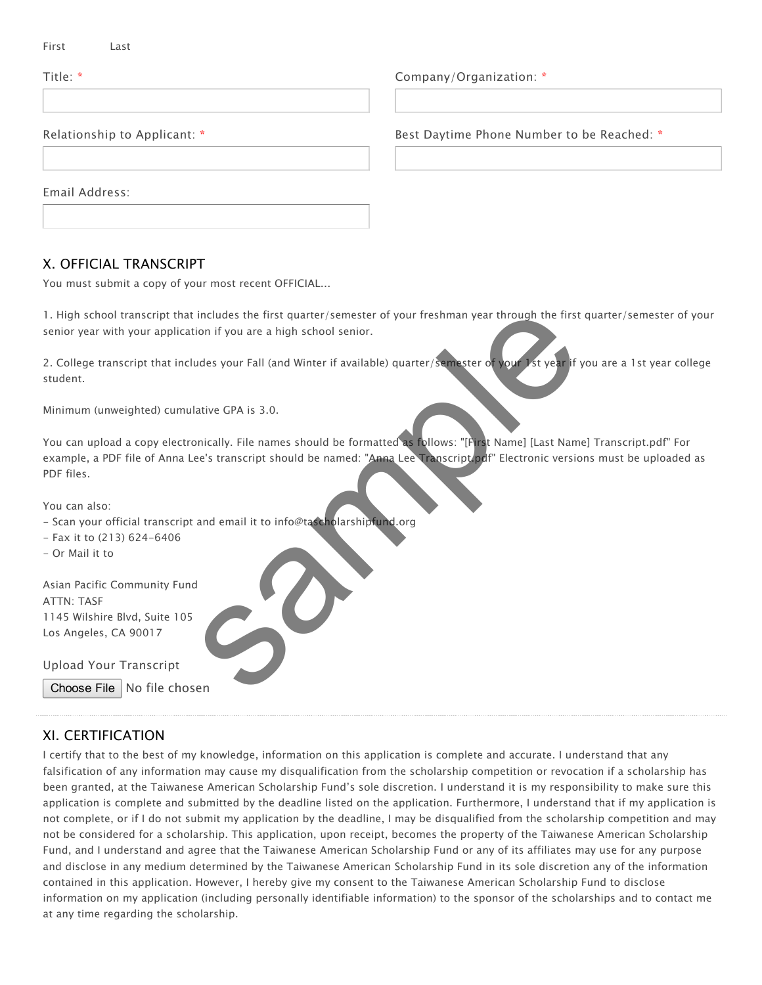Title: \* Company/Organization: \*

Relationship to Applicant: \* The Best Daytime Phone Number to be Reached: \*

Email Address:

## X. OFFICIAL TRANSCRIPT

You must submit a copy of your most recent OFFICIAL...

1. High school transcript that includes the first quarter/semester of your freshman year through the first quarter/semester of your senior year with your application if you are a high school senior.

2. College transcript that includes your Fall (and Winter if available) quarter/semester of your 1st year if you are a 1st year college student.

Minimum (unweighted) cumulative GPA is 3.0.

You can upload a copy electronically. File names should be formatted as follows: "[First Name] [Last Name] Transcript.pdf" For example, a PDF file of Anna Lee's transcript should be named: "Anna Lee Transcript.pdf" Electronic versions must be uploaded as PDF files. includes the first quarter/semester of your freshman year through the first<br>tion if you are a high school senior.<br>udes your Fall (and Winter if available) quarter/semester of your Ist year if y<br>attive GPA is 3.0.<br>attive GP

You can also:

- Scan your official transcript and email it to info@tascholarshipfund.org
- Fax it to (213) 624-6406
- Or Mail it to

Asian Pacific Community Fund ATTN: TASF 1145 Wilshire Blvd, Suite 105 Los Angeles, CA 90017

Upload Your Transcript

Choose File | No file chosen

# XI. CERTIFICATION

I certify that to the best of my knowledge, information on this application is complete and accurate. I understand that any falsification of any information may cause my disqualification from the scholarship competition or revocation if a scholarship has been granted, at the Taiwanese American Scholarship Fund's sole discretion. I understand it is my responsibility to make sure this application is complete and submitted by the deadline listed on the application. Furthermore, I understand that if my application is not complete, or if I do not submit my application by the deadline, I may be disqualified from the scholarship competition and may not be considered for a scholarship. This application, upon receipt, becomes the property of the Taiwanese American Scholarship Fund, and I understand and agree that the Taiwanese American Scholarship Fund or any of its affiliates may use for any purpose and disclose in any medium determined by the Taiwanese American Scholarship Fund in its sole discretion any of the information contained in this application. However, I hereby give my consent to the Taiwanese American Scholarship Fund to disclose information on my application (including personally identifiable information) to the sponsor of the scholarships and to contact me at any time regarding the scholarship.